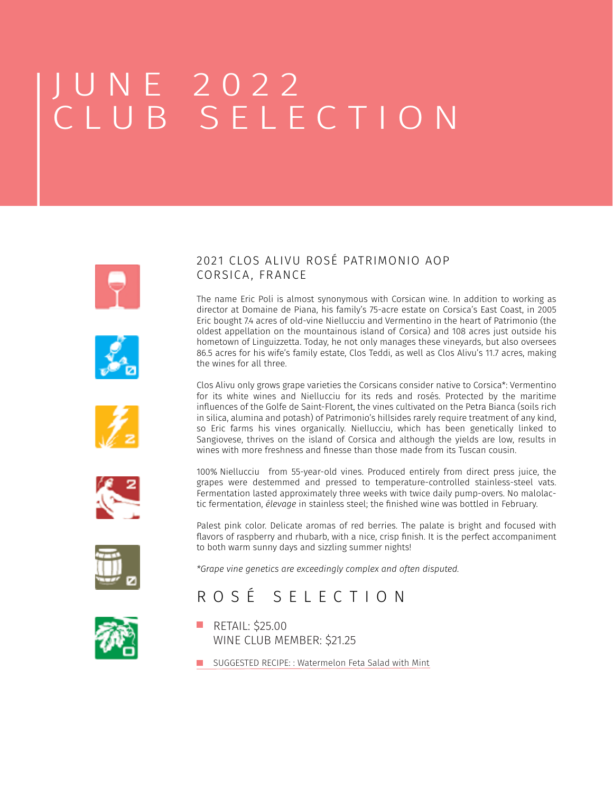# JUNE 2022 CLUB SELECTION









100% Niellucciu from 55-year-old vines. Produced entirely from direct press juice, the grapes were destemmed and pressed to temperature-controlled stainless-steel vats. Fermentation lasted approximately three weeks with twice daily pump-overs. No malolactic fermentation, *élevage* in stainless steel; the finished wine was bottled in February.

Palest pink color. Delicate aromas of red berries. The palate is bright and focused with flavors of raspberry and rhubarb, with a nice, crisp finish. It is the perfect accompaniment to both warm sunny days and sizzling summer nights!

*\*Grape vine genetics are exceedingly complex and o ten disputed.*

## ROSÉ SELECTION



**RETAIL: \$25.00** WINE CLUB MEMBER: \$21.25

**SUGGESTED RECIPE:: Watermelon Feta Salad with Mint** 

#### 2021 CLOS ALIVU ROSÉ PATRIMONIO AOP CORSICA, FRANCE

The name Eric Poli is almost synonymous with Corsican wine. In addition to working as director at Domaine de Piana, his family's 75-acre estate on Corsica's East Coast, in 2005 Eric bought 7.4 acres of old-vine Niellucciu and Vermentino in the heart of Patrimonio (the oldest appellation on the mountainous island of Corsica) and 108 acres just outside his hometown of Linguizzetta. Today, he not only manages these vineyards, but also oversees 86.5 acres for his wife's family estate, Clos Teddi, as well as Clos Alivu's 11.7 acres, making the wines for all three.

Clos Alivu only grows grape varieties the Corsicans consider native to Corsica\*: Vermentino for its white wines and Niellucciu for its reds and rosés. Protected by the maritime influences of the Golfe de Saint-Florent, the vines cultivated on the Petra Bianca (soils rich in silica, alumina and potash) of Patrimonio's hillsides rarely require treatment of any kind, so Eric farms his vines organically. Niellucciu, which has been genetically linked to Sangiovese, thrives on the island of Corsica and although the yields are low, results in wines with more freshness and finesse than those made from its Tuscan cousin.